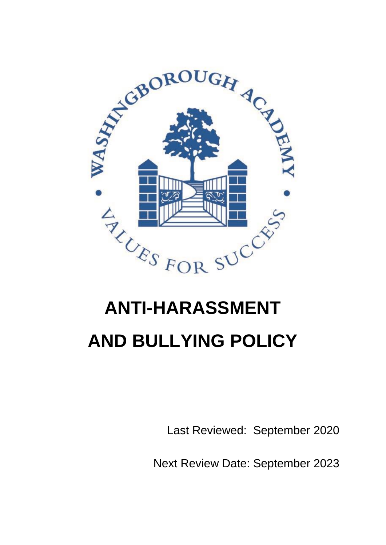

# **ANTI-HARASSMENT AND BULLYING POLICY**

Last Reviewed: September 2020

Next Review Date: September 2023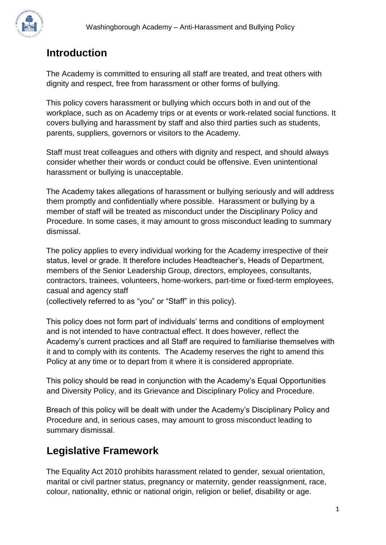

## **Introduction**

The Academy is committed to ensuring all staff are treated, and treat others with dignity and respect, free from harassment or other forms of bullying.

This policy covers harassment or bullying which occurs both in and out of the workplace, such as on Academy trips or at events or work-related social functions. It covers bullying and harassment by staff and also third parties such as students, parents, suppliers, governors or visitors to the Academy.

Staff must treat colleagues and others with dignity and respect, and should always consider whether their words or conduct could be offensive. Even unintentional harassment or bullying is unacceptable.

The Academy takes allegations of harassment or bullying seriously and will address them promptly and confidentially where possible. Harassment or bullying by a member of staff will be treated as misconduct under the Disciplinary Policy and Procedure. In some cases, it may amount to gross misconduct leading to summary dismissal.

The policy applies to every individual working for the Academy irrespective of their status, level or grade. It therefore includes Headteacher's, Heads of Department, members of the Senior Leadership Group, directors, employees, consultants, contractors, trainees, volunteers, home-workers, part-time or fixed-term employees, casual and agency staff

(collectively referred to as "you" or "Staff" in this policy).

This policy does not form part of individuals' terms and conditions of employment and is not intended to have contractual effect. It does however, reflect the Academy's current practices and all Staff are required to familiarise themselves with it and to comply with its contents. The Academy reserves the right to amend this Policy at any time or to depart from it where it is considered appropriate.

This policy should be read in conjunction with the Academy's Equal Opportunities and Diversity Policy, and its Grievance and Disciplinary Policy and Procedure.

Breach of this policy will be dealt with under the Academy's Disciplinary Policy and Procedure and, in serious cases, may amount to gross misconduct leading to summary dismissal.

## **Legislative Framework**

The Equality Act 2010 prohibits harassment related to gender, sexual orientation, marital or civil partner status, pregnancy or maternity, gender reassignment, race, colour, nationality, ethnic or national origin, religion or belief, disability or age.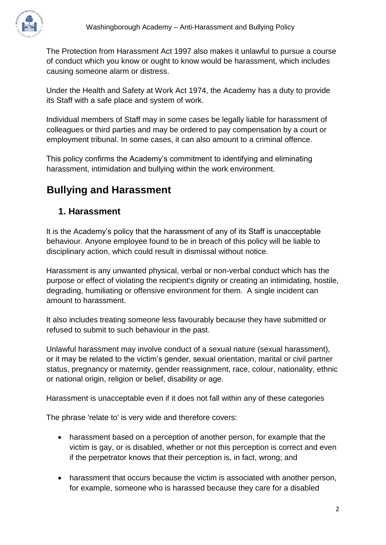The Protection from Harassment Act 1997 also makes it unlawful to pursue a course of conduct which you know or ought to know would be harassment, which includes causing someone alarm or distress.

Under the Health and Safety at Work Act 1974, the Academy has a duty to provide its Staff with a safe place and system of work.

Individual members of Staff may in some cases be legally liable for harassment of colleagues or third parties and may be ordered to pay compensation by a court or employment tribunal. In some cases, it can also amount to a criminal offence.

This policy confirms the Academy's commitment to identifying and eliminating harassment, intimidation and bullying within the work environment.

# **Bullying and Harassment**

#### **1. Harassment**

It is the Academy's policy that the harassment of any of its Staff is unacceptable behaviour. Anyone employee found to be in breach of this policy will be liable to disciplinary action, which could result in dismissal without notice.

Harassment is any unwanted physical, verbal or non-verbal conduct which has the purpose or effect of violating the recipient's dignity or creating an intimidating, hostile, degrading, humiliating or offensive environment for them. A single incident can amount to harassment.

It also includes treating someone less favourably because they have submitted or refused to submit to such behaviour in the past.

Unlawful harassment may involve conduct of a sexual nature (sexual harassment), or it may be related to the victim's gender, sexual orientation, marital or civil partner status, pregnancy or maternity, gender reassignment, race, colour, nationality, ethnic or national origin, religion or belief, disability or age.

Harassment is unacceptable even if it does not fall within any of these categories

The phrase 'relate to' is very wide and therefore covers:

- harassment based on a perception of another person, for example that the victim is gay, or is disabled, whether or not this perception is correct and even if the perpetrator knows that their perception is, in fact, wrong; and
- harassment that occurs because the victim is associated with another person, for example, someone who is harassed because they care for a disabled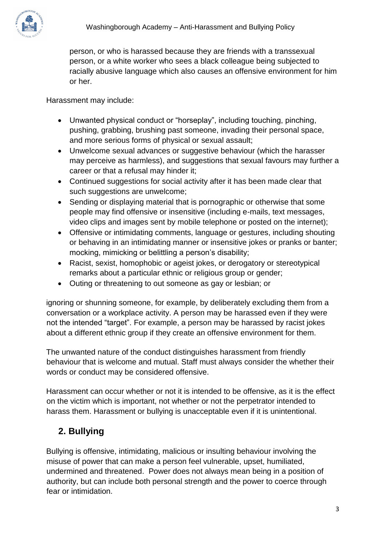

person, or who is harassed because they are friends with a transsexual person, or a white worker who sees a black colleague being subjected to racially abusive language which also causes an offensive environment for him or her.

Harassment may include:

- Unwanted physical conduct or "horseplay", including touching, pinching, pushing, grabbing, brushing past someone, invading their personal space, and more serious forms of physical or sexual assault;
- Unwelcome sexual advances or suggestive behaviour (which the harasser may perceive as harmless), and suggestions that sexual favours may further a career or that a refusal may hinder it;
- Continued suggestions for social activity after it has been made clear that such suggestions are unwelcome;
- Sending or displaying material that is pornographic or otherwise that some people may find offensive or insensitive (including e-mails, text messages, video clips and images sent by mobile telephone or posted on the internet);
- Offensive or intimidating comments, language or gestures, including shouting or behaving in an intimidating manner or insensitive jokes or pranks or banter; mocking, mimicking or belittling a person's disability;
- Racist, sexist, homophobic or ageist jokes, or derogatory or stereotypical remarks about a particular ethnic or religious group or gender;
- Outing or threatening to out someone as gay or lesbian; or

ignoring or shunning someone, for example, by deliberately excluding them from a conversation or a workplace activity. A person may be harassed even if they were not the intended "target". For example, a person may be harassed by racist jokes about a different ethnic group if they create an offensive environment for them.

The unwanted nature of the conduct distinguishes harassment from friendly behaviour that is welcome and mutual. Staff must always consider the whether their words or conduct may be considered offensive.

Harassment can occur whether or not it is intended to be offensive, as it is the effect on the victim which is important, not whether or not the perpetrator intended to harass them. Harassment or bullying is unacceptable even if it is unintentional.

## **2. Bullying**

Bullying is offensive, intimidating, malicious or insulting behaviour involving the misuse of power that can make a person feel vulnerable, upset, humiliated, undermined and threatened. Power does not always mean being in a position of authority, but can include both personal strength and the power to coerce through fear or intimidation.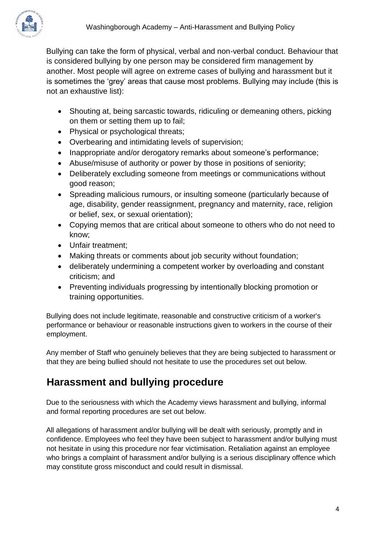

Bullying can take the form of physical, verbal and non-verbal conduct. Behaviour that is considered bullying by one person may be considered firm management by another. Most people will agree on extreme cases of bullying and harassment but it is sometimes the 'grey' areas that cause most problems. Bullying may include (this is not an exhaustive list):

- Shouting at, being sarcastic towards, ridiculing or demeaning others, picking on them or setting them up to fail;
- Physical or psychological threats;
- Overbearing and intimidating levels of supervision;
- Inappropriate and/or derogatory remarks about someone's performance;
- Abuse/misuse of authority or power by those in positions of seniority;
- Deliberately excluding someone from meetings or communications without good reason;
- Spreading malicious rumours, or insulting someone (particularly because of age, disability, gender reassignment, pregnancy and maternity, race, religion or belief, sex, or sexual orientation);
- Copying memos that are critical about someone to others who do not need to know;
- Unfair treatment;
- Making threats or comments about job security without foundation;
- deliberately undermining a competent worker by overloading and constant criticism; and
- Preventing individuals progressing by intentionally blocking promotion or training opportunities.

Bullying does not include legitimate, reasonable and constructive criticism of a worker's performance or behaviour or reasonable instructions given to workers in the course of their employment.

Any member of Staff who genuinely believes that they are being subjected to harassment or that they are being bullied should not hesitate to use the procedures set out below.

## **Harassment and bullying procedure**

Due to the seriousness with which the Academy views harassment and bullying, informal and formal reporting procedures are set out below.

All allegations of harassment and/or bullying will be dealt with seriously, promptly and in confidence. Employees who feel they have been subject to harassment and/or bullying must not hesitate in using this procedure nor fear victimisation. Retaliation against an employee who brings a complaint of harassment and/or bullying is a serious disciplinary offence which may constitute gross misconduct and could result in dismissal.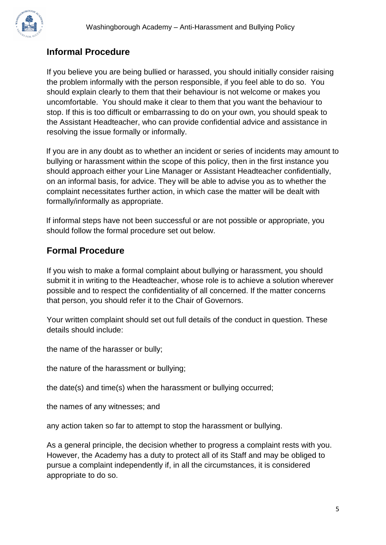

### **Informal Procedure**

If you believe you are being bullied or harassed, you should initially consider raising the problem informally with the person responsible, if you feel able to do so. You should explain clearly to them that their behaviour is not welcome or makes you uncomfortable. You should make it clear to them that you want the behaviour to stop. If this is too difficult or embarrassing to do on your own, you should speak to the Assistant Headteacher, who can provide confidential advice and assistance in resolving the issue formally or informally.

If you are in any doubt as to whether an incident or series of incidents may amount to bullying or harassment within the scope of this policy, then in the first instance you should approach either your Line Manager or Assistant Headteacher confidentially, on an informal basis, for advice. They will be able to advise you as to whether the complaint necessitates further action, in which case the matter will be dealt with formally/informally as appropriate.

If informal steps have not been successful or are not possible or appropriate, you should follow the formal procedure set out below.

#### **Formal Procedure**

If you wish to make a formal complaint about bullying or harassment, you should submit it in writing to the Headteacher, whose role is to achieve a solution wherever possible and to respect the confidentiality of all concerned. If the matter concerns that person, you should refer it to the Chair of Governors.

Your written complaint should set out full details of the conduct in question. These details should include:

the name of the harasser or bully;

the nature of the harassment or bullying;

the date(s) and time(s) when the harassment or bullying occurred;

the names of any witnesses; and

any action taken so far to attempt to stop the harassment or bullying.

As a general principle, the decision whether to progress a complaint rests with you. However, the Academy has a duty to protect all of its Staff and may be obliged to pursue a complaint independently if, in all the circumstances, it is considered appropriate to do so.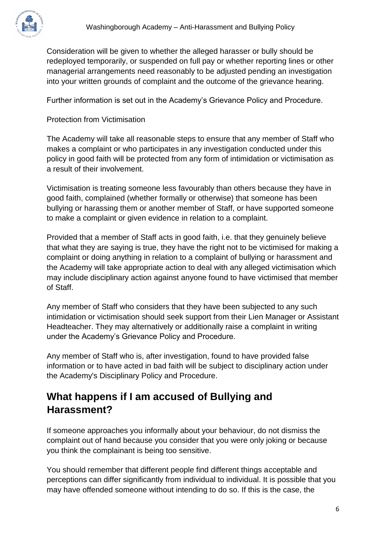

Consideration will be given to whether the alleged harasser or bully should be redeployed temporarily, or suspended on full pay or whether reporting lines or other managerial arrangements need reasonably to be adjusted pending an investigation into your written grounds of complaint and the outcome of the grievance hearing.

Further information is set out in the Academy's Grievance Policy and Procedure.

Protection from Victimisation

The Academy will take all reasonable steps to ensure that any member of Staff who makes a complaint or who participates in any investigation conducted under this policy in good faith will be protected from any form of intimidation or victimisation as a result of their involvement.

Victimisation is treating someone less favourably than others because they have in good faith, complained (whether formally or otherwise) that someone has been bullying or harassing them or another member of Staff, or have supported someone to make a complaint or given evidence in relation to a complaint.

Provided that a member of Staff acts in good faith, i.e. that they genuinely believe that what they are saying is true, they have the right not to be victimised for making a complaint or doing anything in relation to a complaint of bullying or harassment and the Academy will take appropriate action to deal with any alleged victimisation which may include disciplinary action against anyone found to have victimised that member of Staff.

Any member of Staff who considers that they have been subjected to any such intimidation or victimisation should seek support from their Lien Manager or Assistant Headteacher. They may alternatively or additionally raise a complaint in writing under the Academy's Grievance Policy and Procedure.

Any member of Staff who is, after investigation, found to have provided false information or to have acted in bad faith will be subject to disciplinary action under the Academy's Disciplinary Policy and Procedure.

## **What happens if I am accused of Bullying and Harassment?**

If someone approaches you informally about your behaviour, do not dismiss the complaint out of hand because you consider that you were only joking or because you think the complainant is being too sensitive.

You should remember that different people find different things acceptable and perceptions can differ significantly from individual to individual. It is possible that you may have offended someone without intending to do so. If this is the case, the